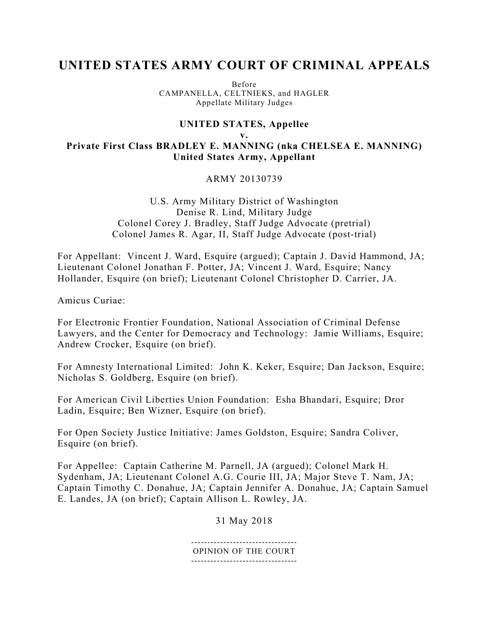# **UNITED STATES ARMY COURT OF CRIMINAL APPEALS**

Before CAMPANELLA, CELTNIEKS, and HAGLER Appellate Military Judges

## **UNITED STATES, Appellee v.**

**Private First Class BRADLEY E. MANNING (nka CHELSEA E. MANNING) United States Army, Appellant** 

## ARMY 20130739

U.S. Army Military District of Washington Denise R. Lind, Military Judge Colonel Corey J. Bradley, Staff Judge Advocate (pretrial) Colonel James R. Agar, II, Staff Judge Advocate (post-trial)

For Appellant: Vincent J. Ward, Esquire (argued); Captain J. David Hammond, JA; Lieutenant Colonel Jonathan F. Potter, JA; Vincent J. Ward, Esquire; Nancy Hollander, Esquire (on brief); Lieutenant Colonel Christopher D. Carrier, JA.

Amicus Curiae:

For Electronic Frontier Foundation, National Association of Criminal Defense Lawyers, and the Center for Democracy and Technology: Jamie Williams, Esquire; Andrew Crocker, Esquire (on brief).

For Amnesty International Limited: John K. Keker, Esquire; Dan Jackson, Esquire; Nicholas S. Goldberg, Esquire (on brief).

For American Civil Liberties Union Foundation: Esha Bhandari, Esquire; Dror Ladin, Esquire; Ben Wizner, Esquire (on brief).

For Open Society Justice Initiative: James Goldston, Esquire; Sandra Coliver, Esquire (on brief).

For Appellee: Captain Catherine M. Parnell, JA (argued); Colonel Mark H. Sydenham, JA; Lieutenant Colonel A.G. Courie III, JA; Major Steve T. Nam, JA; Captain Timothy C. Donahue, JA; Captain Jennifer A. Donahue, JA; Captain Samuel E. Landes, JA (on brief); Captain Allison L. Rowley, JA.

31 May 2018

--------------------------------- OPINION OF THE COURT ---------------------------------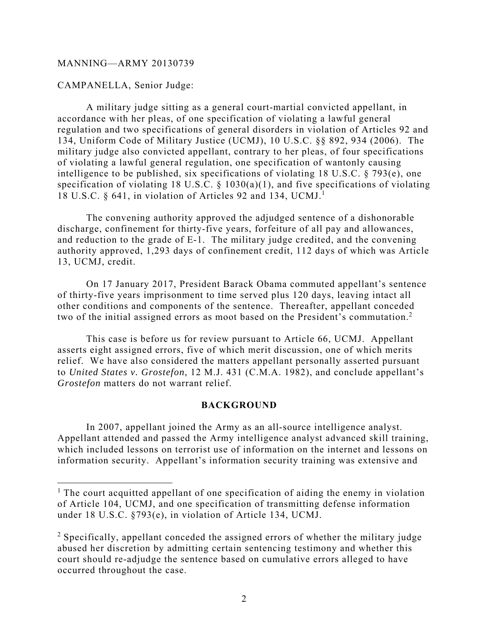CAMPANELLA, Senior Judge:

1

A military judge sitting as a general court-martial convicted appellant, in accordance with her pleas, of one specification of violating a lawful general regulation and two specifications of general disorders in violation of Articles 92 and 134, Uniform Code of Military Justice (UCMJ), 10 U.S.C. §§ 892, 934 (2006). The military judge also convicted appellant, contrary to her pleas, of four specifications of violating a lawful general regulation, one specification of wantonly causing intelligence to be published, six specifications of violating 18 U.S.C. § 793(e), one specification of violating 18 U.S.C.  $\S$  1030(a)(1), and five specifications of violating 18 U.S.C. § 641, in violation of Articles 92 and 134, UCMJ.<sup>1</sup>

The convening authority approved the adjudged sentence of a dishonorable discharge, confinement for thirty-five years, forfeiture of all pay and allowances, and reduction to the grade of E-1. The military judge credited, and the convening authority approved, 1,293 days of confinement credit, 112 days of which was Article 13, UCMJ, credit.

On 17 January 2017, President Barack Obama commuted appellant's sentence of thirty-five years imprisonment to time served plus 120 days, leaving intact all other conditions and components of the sentence. Thereafter, appellant conceded two of the initial assigned errors as moot based on the President's commutation.<sup>2</sup>

This case is before us for review pursuant to Article 66, UCMJ. Appellant asserts eight assigned errors, five of which merit discussion, one of which merits relief. We have also considered the matters appellant personally asserted pursuant to *United States v. Grostefon*, 12 M.J. 431 (C.M.A. 1982), and conclude appellant's *Grostefon* matters do not warrant relief.

## **BACKGROUND**

 In 2007, appellant joined the Army as an all-source intelligence analyst. Appellant attended and passed the Army intelligence analyst advanced skill training, which included lessons on terrorist use of information on the internet and lessons on information security. Appellant's information security training was extensive and

<sup>&</sup>lt;sup>1</sup> The court acquitted appellant of one specification of aiding the enemy in violation of Article 104, UCMJ, and one specification of transmitting defense information under 18 U.S.C. §793(e), in violation of Article 134, UCMJ.

 $2$  Specifically, appellant conceded the assigned errors of whether the military judge abused her discretion by admitting certain sentencing testimony and whether this court should re-adjudge the sentence based on cumulative errors alleged to have occurred throughout the case.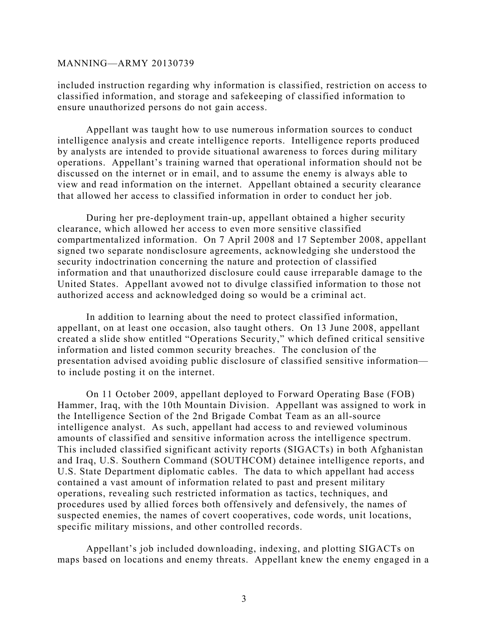included instruction regarding why information is classified, restriction on access to classified information, and storage and safekeeping of classified information to ensure unauthorized persons do not gain access.

 Appellant was taught how to use numerous information sources to conduct intelligence analysis and create intelligence reports. Intelligence reports produced by analysts are intended to provide situational awareness to forces during military operations. Appellant's training warned that operational information should not be discussed on the internet or in email, and to assume the enemy is always able to view and read information on the internet. Appellant obtained a security clearance that allowed her access to classified information in order to conduct her job.

 During her pre-deployment train-up, appellant obtained a higher security clearance, which allowed her access to even more sensitive classified compartmentalized information. On 7 April 2008 and 17 September 2008, appellant signed two separate nondisclosure agreements, acknowledging she understood the security indoctrination concerning the nature and protection of classified information and that unauthorized disclosure could cause irreparable damage to the United States. Appellant avowed not to divulge classified information to those not authorized access and acknowledged doing so would be a criminal act.

 In addition to learning about the need to protect classified information, appellant, on at least one occasion, also taught others. On 13 June 2008, appellant created a slide show entitled "Operations Security," which defined critical sensitive information and listed common security breaches. The conclusion of the presentation advised avoiding public disclosure of classified sensitive information to include posting it on the internet.

 On 11 October 2009, appellant deployed to Forward Operating Base (FOB) Hammer, Iraq, with the 10th Mountain Division. Appellant was assigned to work in the Intelligence Section of the 2nd Brigade Combat Team as an all-source intelligence analyst. As such, appellant had access to and reviewed voluminous amounts of classified and sensitive information across the intelligence spectrum. This included classified significant activity reports (SIGACTs) in both Afghanistan and Iraq, U.S. Southern Command (SOUTHCOM) detainee intelligence reports, and U.S. State Department diplomatic cables. The data to which appellant had access contained a vast amount of information related to past and present military operations, revealing such restricted information as tactics, techniques, and procedures used by allied forces both offensively and defensively, the names of suspected enemies, the names of covert cooperatives, code words, unit locations, specific military missions, and other controlled records.

 Appellant's job included downloading, indexing, and plotting SIGACTs on maps based on locations and enemy threats. Appellant knew the enemy engaged in a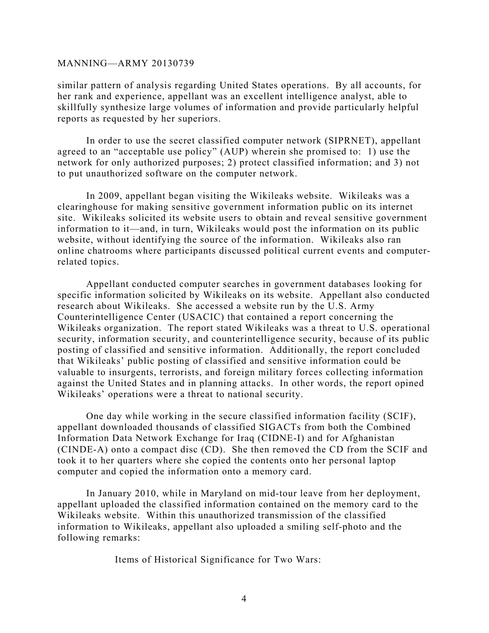similar pattern of analysis regarding United States operations. By all accounts, for her rank and experience, appellant was an excellent intelligence analyst, able to skillfully synthesize large volumes of information and provide particularly helpful reports as requested by her superiors.

 In order to use the secret classified computer network (SIPRNET), appellant agreed to an "acceptable use policy" (AUP) wherein she promised to: 1) use the network for only authorized purposes; 2) protect classified information; and 3) not to put unauthorized software on the computer network.

 In 2009, appellant began visiting the Wikileaks website. Wikileaks was a clearinghouse for making sensitive government information public on its internet site. Wikileaks solicited its website users to obtain and reveal sensitive government information to it—and, in turn, Wikileaks would post the information on its public website, without identifying the source of the information. Wikileaks also ran online chatrooms where participants discussed political current events and computerrelated topics.

 Appellant conducted computer searches in government databases looking for specific information solicited by Wikileaks on its website. Appellant also conducted research about Wikileaks. She accessed a website run by the U.S. Army Counterintelligence Center (USACIC) that contained a report concerning the Wikileaks organization. The report stated Wikileaks was a threat to U.S. operational security, information security, and counterintelligence security, because of its public posting of classified and sensitive information. Additionally, the report concluded that Wikileaks' public posting of classified and sensitive information could be valuable to insurgents, terrorists, and foreign military forces collecting information against the United States and in planning attacks. In other words, the report opined Wikileaks' operations were a threat to national security.

 One day while working in the secure classified information facility (SCIF), appellant downloaded thousands of classified SIGACTs from both the Combined Information Data Network Exchange for Iraq (CIDNE-I) and for Afghanistan (CINDE-A) onto a compact disc (CD). She then removed the CD from the SCIF and took it to her quarters where she copied the contents onto her personal laptop computer and copied the information onto a memory card.

 In January 2010, while in Maryland on mid-tour leave from her deployment, appellant uploaded the classified information contained on the memory card to the Wikileaks website. Within this unauthorized transmission of the classified information to Wikileaks, appellant also uploaded a smiling self-photo and the following remarks:

Items of Historical Significance for Two Wars: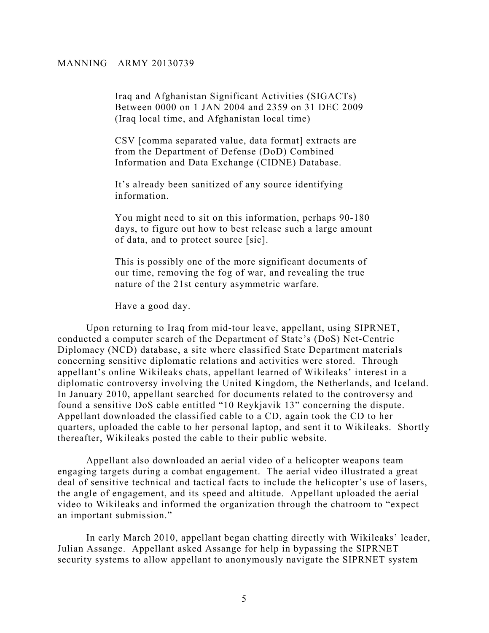Iraq and Afghanistan Significant Activities (SIGACTs) Between 0000 on 1 JAN 2004 and 2359 on 31 DEC 2009 (Iraq local time, and Afghanistan local time)

CSV [comma separated value, data format] extracts are from the Department of Defense (DoD) Combined Information and Data Exchange (CIDNE) Database.

It's already been sanitized of any source identifying information.

You might need to sit on this information, perhaps 90-180 days, to figure out how to best release such a large amount of data, and to protect source [sic].

This is possibly one of the more significant documents of our time, removing the fog of war, and revealing the true nature of the 21st century asymmetric warfare.

Have a good day.

 Upon returning to Iraq from mid-tour leave, appellant, using SIPRNET, conducted a computer search of the Department of State's (DoS) Net-Centric Diplomacy (NCD) database, a site where classified State Department materials concerning sensitive diplomatic relations and activities were stored. Through appellant's online Wikileaks chats, appellant learned of Wikileaks' interest in a diplomatic controversy involving the United Kingdom, the Netherlands, and Iceland. In January 2010, appellant searched for documents related to the controversy and found a sensitive DoS cable entitled "10 Reykjavik 13" concerning the dispute. Appellant downloaded the classified cable to a CD, again took the CD to her quarters, uploaded the cable to her personal laptop, and sent it to Wikileaks. Shortly thereafter, Wikileaks posted the cable to their public website.

 Appellant also downloaded an aerial video of a helicopter weapons team engaging targets during a combat engagement. The aerial video illustrated a great deal of sensitive technical and tactical facts to include the helicopter's use of lasers, the angle of engagement, and its speed and altitude. Appellant uploaded the aerial video to Wikileaks and informed the organization through the chatroom to "expect an important submission."

 In early March 2010, appellant began chatting directly with Wikileaks' leader, Julian Assange. Appellant asked Assange for help in bypassing the SIPRNET security systems to allow appellant to anonymously navigate the SIPRNET system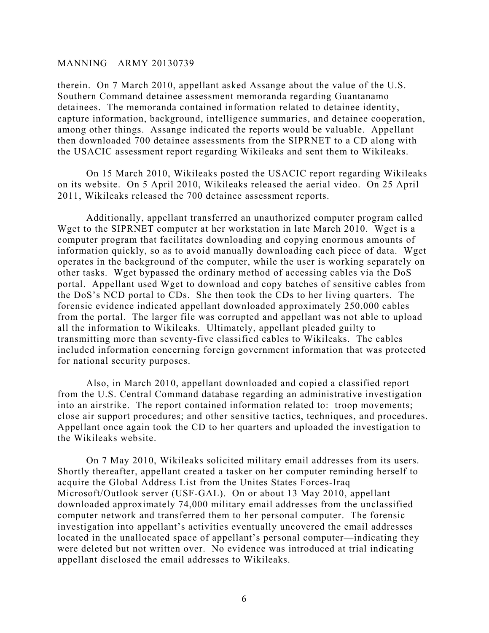therein. On 7 March 2010, appellant asked Assange about the value of the U.S. Southern Command detainee assessment memoranda regarding Guantanamo detainees. The memoranda contained information related to detainee identity, capture information, background, intelligence summaries, and detainee cooperation, among other things. Assange indicated the reports would be valuable. Appellant then downloaded 700 detainee assessments from the SIPRNET to a CD along with the USACIC assessment report regarding Wikileaks and sent them to Wikileaks.

 On 15 March 2010, Wikileaks posted the USACIC report regarding Wikileaks on its website. On 5 April 2010, Wikileaks released the aerial video. On 25 April 2011, Wikileaks released the 700 detainee assessment reports.

 Additionally, appellant transferred an unauthorized computer program called Wget to the SIPRNET computer at her workstation in late March 2010. Wget is a computer program that facilitates downloading and copying enormous amounts of information quickly, so as to avoid manually downloading each piece of data. Wget operates in the background of the computer, while the user is working separately on other tasks. Wget bypassed the ordinary method of accessing cables via the DoS portal. Appellant used Wget to download and copy batches of sensitive cables from the DoS's NCD portal to CDs. She then took the CDs to her living quarters. The forensic evidence indicated appellant downloaded approximately 250,000 cables from the portal. The larger file was corrupted and appellant was not able to upload all the information to Wikileaks. Ultimately, appellant pleaded guilty to transmitting more than seventy-five classified cables to Wikileaks. The cables included information concerning foreign government information that was protected for national security purposes.

 Also, in March 2010, appellant downloaded and copied a classified report from the U.S. Central Command database regarding an administrative investigation into an airstrike. The report contained information related to: troop movements; close air support procedures; and other sensitive tactics, techniques, and procedures. Appellant once again took the CD to her quarters and uploaded the investigation to the Wikileaks website.

 On 7 May 2010, Wikileaks solicited military email addresses from its users. Shortly thereafter, appellant created a tasker on her computer reminding herself to acquire the Global Address List from the Unites States Forces-Iraq Microsoft/Outlook server (USF-GAL). On or about 13 May 2010, appellant downloaded approximately 74,000 military email addresses from the unclassified computer network and transferred them to her personal computer. The forensic investigation into appellant's activities eventually uncovered the email addresses located in the unallocated space of appellant's personal computer—indicating they were deleted but not written over. No evidence was introduced at trial indicating appellant disclosed the email addresses to Wikileaks.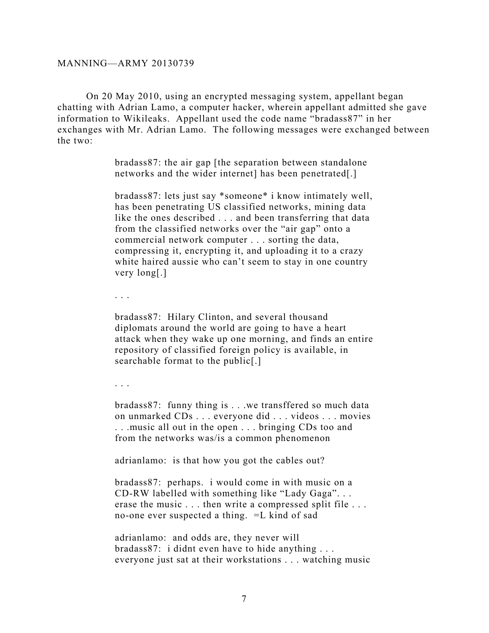On 20 May 2010, using an encrypted messaging system, appellant began chatting with Adrian Lamo, a computer hacker, wherein appellant admitted she gave information to Wikileaks. Appellant used the code name "bradass87" in her exchanges with Mr. Adrian Lamo. The following messages were exchanged between the two:

> bradass87: the air gap [the separation between standalone networks and the wider internet] has been penetrated[.]

bradass87: lets just say \*someone\* i know intimately well, has been penetrating US classified networks, mining data like the ones described . . . and been transferring that data from the classified networks over the "air gap" onto a commercial network computer . . . sorting the data, compressing it, encrypting it, and uploading it to a crazy white haired aussie who can't seem to stay in one country very long[.]

. . .

bradass87: Hilary Clinton, and several thousand diplomats around the world are going to have a heart attack when they wake up one morning, and finds an entire repository of classified foreign policy is available, in searchable format to the public[.]

. . .

bradass87: funny thing is . . .we transffered so much data on unmarked CDs . . . everyone did . . . videos . . . movies . . .music all out in the open . . . bringing CDs too and from the networks was/is a common phenomenon

adrianlamo: is that how you got the cables out?

bradass87: perhaps. i would come in with music on a CD-RW labelled with something like "Lady Gaga". . . erase the music . . . then write a compressed split file . . . no-one ever suspected a thing. =L kind of sad

adrianlamo: and odds are, they never will bradass87: i didnt even have to hide anything . . . everyone just sat at their workstations . . . watching music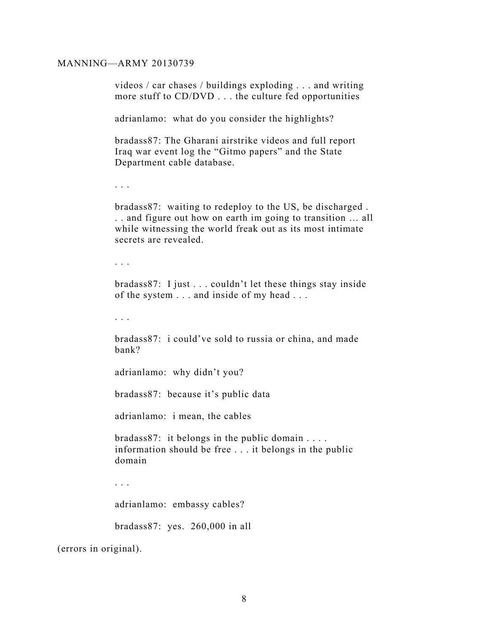videos / car chases / buildings exploding . . . and writing more stuff to CD/DVD . . . the culture fed opportunities

adrianlamo: what do you consider the highlights?

bradass87: The Gharani airstrike videos and full report Iraq war event log the "Gitmo papers" and the State Department cable database.

. . .

bradass87: waiting to redeploy to the US, be discharged . . . and figure out how on earth im going to transition … all while witnessing the world freak out as its most intimate secrets are revealed.

. . .

bradass87: I just . . . couldn't let these things stay inside of the system . . . and inside of my head . . .

. . .

bradass87: i could've sold to russia or china, and made bank?

adrianlamo: why didn't you?

bradass87: because it's public data

adrianlamo: i mean, the cables

bradass87: it belongs in the public domain . . . . information should be free . . . it belongs in the public domain

. . .

adrianlamo: embassy cables?

bradass87: yes. 260,000 in all

(errors in original).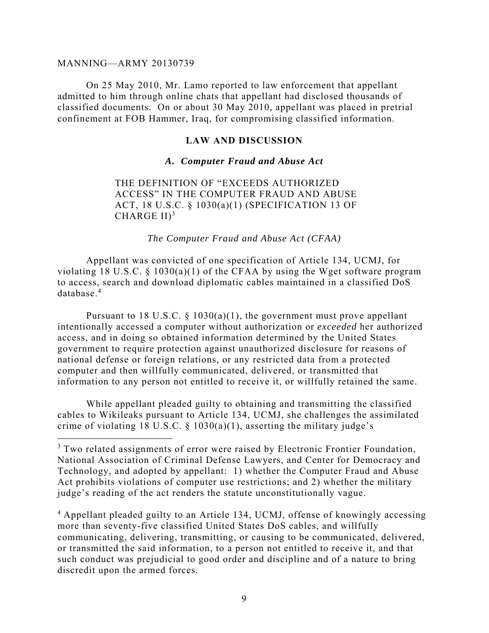$\overline{a}$ 

 On 25 May 2010, Mr. Lamo reported to law enforcement that appellant admitted to him through online chats that appellant had disclosed thousands of classified documents. On or about 30 May 2010, appellant was placed in pretrial confinement at FOB Hammer, Iraq, for compromising classified information.

## **LAW AND DISCUSSION**

#### *A. Computer Fraud and Abuse Act*

THE DEFINITION OF "EXCEEDS AUTHORIZED ACCESS" IN THE COMPUTER FRAUD AND ABUSE ACT, 18 U.S.C. § 1030(a)(1) (SPECIFICATION 13 OF CHARGE  $II$ <sup>3</sup>

*The Computer Fraud and Abuse Act (CFAA)* 

Appellant was convicted of one specification of Article 134, UCMJ, for violating 18 U.S.C.  $\S$  1030(a)(1) of the CFAA by using the Wget software program to access, search and download diplomatic cables maintained in a classified DoS database.<sup>4</sup>

Pursuant to 18 U.S.C.  $\S$  1030(a)(1), the government must prove appellant intentionally accessed a computer without authorization or *exceeded* her authorized access, and in doing so obtained information determined by the United States government to require protection against unauthorized disclosure for reasons of national defense or foreign relations, or any restricted data from a protected computer and then willfully communicated, delivered, or transmitted that information to any person not entitled to receive it, or willfully retained the same.

While appellant pleaded guilty to obtaining and transmitting the classified cables to Wikileaks pursuant to Article 134, UCMJ, she challenges the assimilated crime of violating 18 U.S.C.  $\S$  1030(a)(1), asserting the military judge's

<sup>4</sup> Appellant pleaded guilty to an Article 134, UCMJ, offense of knowingly accessing more than seventy-five classified United States DoS cables, and willfully communicating, delivering, transmitting, or causing to be communicated, delivered, or transmitted the said information, to a person not entitled to receive it, and that such conduct was prejudicial to good order and discipline and of a nature to bring discredit upon the armed forces.

<sup>&</sup>lt;sup>3</sup> Two related assignments of error were raised by Electronic Frontier Foundation, National Association of Criminal Defense Lawyers, and Center for Democracy and Technology, and adopted by appellant: 1) whether the Computer Fraud and Abuse Act prohibits violations of computer use restrictions; and 2) whether the military judge's reading of the act renders the statute unconstitutionally vague.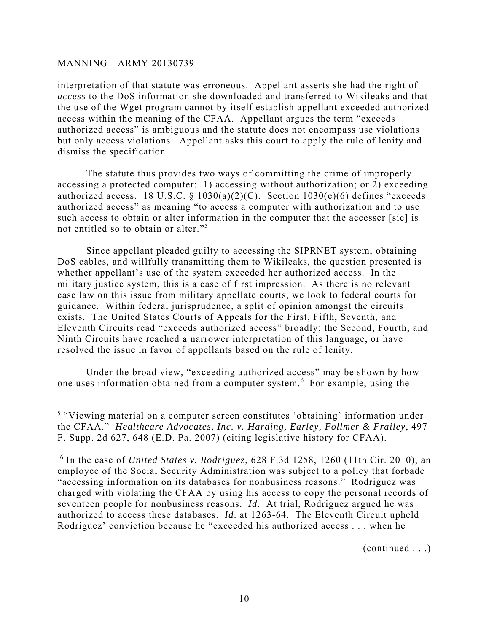<u>.</u>

interpretation of that statute was erroneous. Appellant asserts she had the right of *access* to the DoS information she downloaded and transferred to Wikileaks and that the use of the Wget program cannot by itself establish appellant exceeded authorized access within the meaning of the CFAA. Appellant argues the term "exceeds authorized access" is ambiguous and the statute does not encompass use violations but only access violations. Appellant asks this court to apply the rule of lenity and dismiss the specification.

The statute thus provides two ways of committing the crime of improperly accessing a protected computer: 1) accessing without authorization; or 2) exceeding authorized access. 18 U.S.C. §  $1030(a)(2)(C)$ . Section  $1030(e)(6)$  defines "exceeds authorized access" as meaning "to access a computer with authorization and to use such access to obtain or alter information in the computer that the accesser [sic] is not entitled so to obtain or alter."<sup>5</sup>

Since appellant pleaded guilty to accessing the SIPRNET system, obtaining DoS cables, and willfully transmitting them to Wikileaks, the question presented is whether appellant's use of the system exceeded her authorized access. In the military justice system, this is a case of first impression. As there is no relevant case law on this issue from military appellate courts, we look to federal courts for guidance. Within federal jurisprudence, a split of opinion amongst the circuits exists. The United States Courts of Appeals for the First, Fifth, Seventh, and Eleventh Circuits read "exceeds authorized access" broadly; the Second, Fourth, and Ninth Circuits have reached a narrower interpretation of this language, or have resolved the issue in favor of appellants based on the rule of lenity.

Under the broad view, "exceeding authorized access" may be shown by how one uses information obtained from a computer system.<sup>6</sup> For example, using the

(continued . . .)

<sup>&</sup>lt;sup>5</sup> "Viewing material on a computer screen constitutes 'obtaining' information under the CFAA." *Healthcare Advocates, Inc. v. Harding, Earley, Follmer & Frailey*, 497 F. Supp. 2d 627, 648 (E.D. Pa. 2007) (citing legislative history for CFAA).

<sup>6</sup> In the case of *United States v. Rodriguez*, 628 F.3d 1258, 1260 (11th Cir. 2010), an employee of the Social Security Administration was subject to a policy that forbade "accessing information on its databases for nonbusiness reasons." Rodriguez was charged with violating the CFAA by using his access to copy the personal records of seventeen people for nonbusiness reasons. *Id*. At trial, Rodriguez argued he was authorized to access these databases. *Id*. at 1263-64. The Eleventh Circuit upheld Rodriguez' conviction because he "exceeded his authorized access . . . when he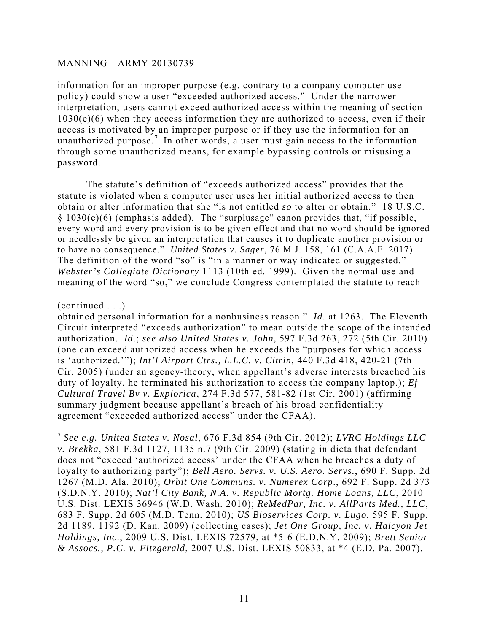information for an improper purpose (e.g. contrary to a company computer use policy) could show a user "exceeded authorized access." Under the narrower interpretation, users cannot exceed authorized access within the meaning of section  $1030(e)(6)$  when they access information they are authorized to access, even if their access is motivated by an improper purpose or if they use the information for an unauthorized purpose.<sup>7</sup> In other words, a user must gain access to the information through some unauthorized means, for example bypassing controls or misusing a password.

The statute's definition of "exceeds authorized access" provides that the statute is violated when a computer user uses her initial authorized access to then obtain or alter information that she "is not entitled *so* to alter or obtain." 18 U.S.C. § 1030(e)(6) (emphasis added). The "surplusage" canon provides that, "if possible, every word and every provision is to be given effect and that no word should be ignored or needlessly be given an interpretation that causes it to duplicate another provision or to have no consequence." *United States v. Sager*, 76 M.J. 158, 161 (C.A.A.F. 2017). The definition of the word "so" is "in a manner or way indicated or suggested." *Webster's Collegiate Dictionary* 1113 (10th ed. 1999). Given the normal use and meaning of the word "so," we conclude Congress contemplated the statute to reach

(continued . . .)

<u>.</u>

obtained personal information for a nonbusiness reason." *Id*. at 1263. The Eleventh Circuit interpreted "exceeds authorization" to mean outside the scope of the intended authorization. *Id*.; *see also United States v. John*, 597 F.3d 263, 272 (5th Cir. 2010) (one can exceed authorized access when he exceeds the "purposes for which access is 'authorized.'"); *Int'l Airport Ctrs., L.L.C. v. Citrin*, 440 F.3d 418, 420-21 (7th Cir. 2005) (under an agency-theory, when appellant's adverse interests breached his duty of loyalty, he terminated his authorization to access the company laptop.); *Ef Cultural Travel Bv v. Explorica*, 274 F.3d 577, 581-82 (1st Cir. 2001) (affirming summary judgment because appellant's breach of his broad confidentiality agreement "exceeded authorized access" under the CFAA).

<sup>7</sup> *See e.g. United States v. Nosal*, 676 F.3d 854 (9th Cir. 2012); *LVRC Holdings LLC v. Brekka*, 581 F.3d 1127, 1135 n.7 (9th Cir. 2009) (stating in dicta that defendant does not "exceed 'authorized access' under the CFAA when he breaches a duty of loyalty to authorizing party"); *Bell Aero. Servs. v. U.S. Aero. Servs.*, 690 F. Supp. 2d 1267 (M.D. Ala. 2010); *Orbit One Communs. v. Numerex Corp*., 692 F. Supp. 2d 373 (S.D.N.Y. 2010); *Nat'l City Bank, N.A. v. Republic Mortg. Home Loans, LLC*, 2010 U.S. Dist. LEXIS 36946 (W.D. Wash. 2010); *ReMedPar, Inc. v. AllParts Med., LLC*, 683 F. Supp. 2d 605 (M.D. Tenn. 2010); *US Bioservices Corp. v. Lugo*, 595 F. Supp. 2d 1189, 1192 (D. Kan. 2009) (collecting cases); *Jet One Group, Inc. v. Halcyon Jet Holdings, Inc*., 2009 U.S. Dist. LEXIS 72579, at \*5-6 (E.D.N.Y. 2009); *Brett Senior & Assocs., P.C. v. Fitzgerald*, 2007 U.S. Dist. LEXIS 50833, at \*4 (E.D. Pa. 2007).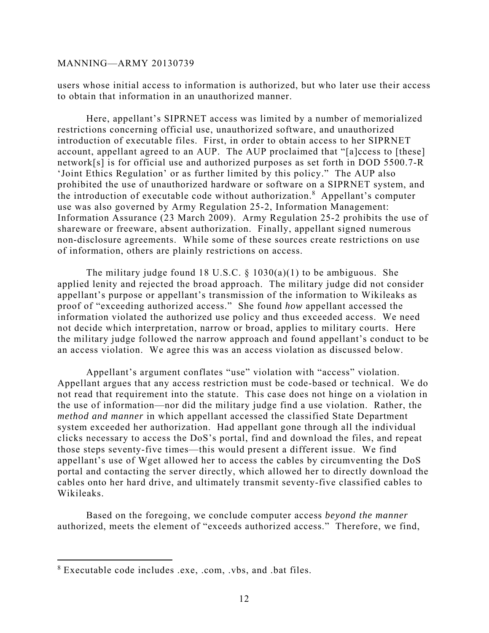users whose initial access to information is authorized, but who later use their access to obtain that information in an unauthorized manner.

Here, appellant's SIPRNET access was limited by a number of memorialized restrictions concerning official use, unauthorized software, and unauthorized introduction of executable files. First, in order to obtain access to her SIPRNET account, appellant agreed to an AUP. The AUP proclaimed that "[a]ccess to [these] network[s] is for official use and authorized purposes as set forth in DOD 5500.7-R 'Joint Ethics Regulation' or as further limited by this policy." The AUP also prohibited the use of unauthorized hardware or software on a SIPRNET system, and the introduction of executable code without authorization.<sup>8</sup> Appellant's computer use was also governed by Army Regulation 25-2, Information Management: Information Assurance (23 March 2009). Army Regulation 25-2 prohibits the use of shareware or freeware, absent authorization. Finally, appellant signed numerous non-disclosure agreements. While some of these sources create restrictions on use of information, others are plainly restrictions on access.

The military judge found 18 U.S.C.  $\S$  1030(a)(1) to be ambiguous. She applied lenity and rejected the broad approach. The military judge did not consider appellant's purpose or appellant's transmission of the information to Wikileaks as proof of "exceeding authorized access." She found *how* appellant accessed the information violated the authorized use policy and thus exceeded access. We need not decide which interpretation, narrow or broad, applies to military courts. Here the military judge followed the narrow approach and found appellant's conduct to be an access violation. We agree this was an access violation as discussed below.

Appellant's argument conflates "use" violation with "access" violation. Appellant argues that any access restriction must be code-based or technical. We do not read that requirement into the statute. This case does not hinge on a violation in the use of information—nor did the military judge find a use violation. Rather, the *method and manner* in which appellant accessed the classified State Department system exceeded her authorization. Had appellant gone through all the individual clicks necessary to access the DoS's portal, find and download the files, and repeat those steps seventy-five times—this would present a different issue. We find appellant's use of Wget allowed her to access the cables by circumventing the DoS portal and contacting the server directly, which allowed her to directly download the cables onto her hard drive, and ultimately transmit seventy-five classified cables to Wikileaks.

Based on the foregoing, we conclude computer access *beyond the manner* authorized, meets the element of "exceeds authorized access." Therefore, we find,

 $\overline{a}$ 

<sup>8</sup> Executable code includes .exe, .com, .vbs, and .bat files.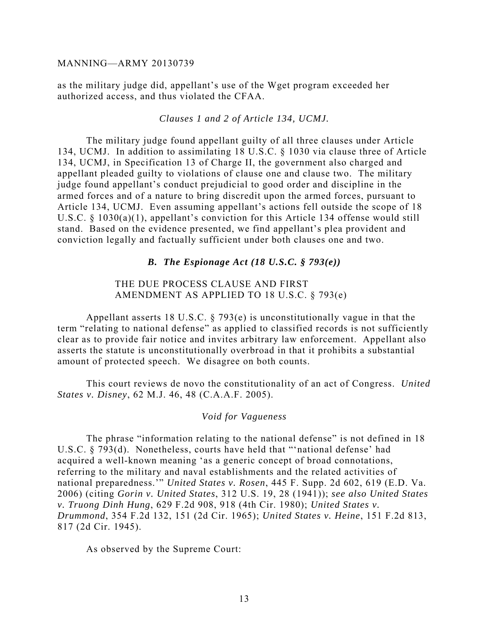as the military judge did, appellant's use of the Wget program exceeded her authorized access, and thus violated the CFAA.

#### *Clauses 1 and 2 of Article 134, UCMJ.*

The military judge found appellant guilty of all three clauses under Article 134, UCMJ. In addition to assimilating 18 U.S.C. § 1030 via clause three of Article 134, UCMJ, in Specification 13 of Charge II, the government also charged and appellant pleaded guilty to violations of clause one and clause two. The military judge found appellant's conduct prejudicial to good order and discipline in the armed forces and of a nature to bring discredit upon the armed forces, pursuant to Article 134, UCMJ. Even assuming appellant's actions fell outside the scope of 18 U.S.C. § 1030(a)(1), appellant's conviction for this Article 134 offense would still stand. Based on the evidence presented, we find appellant's plea provident and conviction legally and factually sufficient under both clauses one and two.

#### *B. The Espionage Act (18 U.S.C. § 793(e))*

## THE DUE PROCESS CLAUSE AND FIRST AMENDMENT AS APPLIED TO 18 U.S.C. § 793(e)

Appellant asserts 18 U.S.C. § 793(e) is unconstitutionally vague in that the term "relating to national defense" as applied to classified records is not sufficiently clear as to provide fair notice and invites arbitrary law enforcement. Appellant also asserts the statute is unconstitutionally overbroad in that it prohibits a substantial amount of protected speech. We disagree on both counts.

This court reviews de novo the constitutionality of an act of Congress. *United States v. Disney*, 62 M.J. 46, 48 (C.A.A.F. 2005).

#### *Void for Vagueness*

The phrase "information relating to the national defense" is not defined in 18 U.S.C. § 793(d). Nonetheless, courts have held that "'national defense' had acquired a well-known meaning 'as a generic concept of broad connotations, referring to the military and naval establishments and the related activities of national preparedness.'" *United States v. Rosen*, 445 F. Supp. 2d 602, 619 (E.D. Va. 2006) (citing *Gorin v. United States*, 312 U.S. 19, 28 (1941)); *see also United States v. Truong Dinh Hung*, 629 F.2d 908, 918 (4th Cir. 1980); *United States v. Drummond*, 354 F.2d 132, 151 (2d Cir. 1965); *United States v. Heine*, 151 F.2d 813, 817 (2d Cir. 1945).

As observed by the Supreme Court: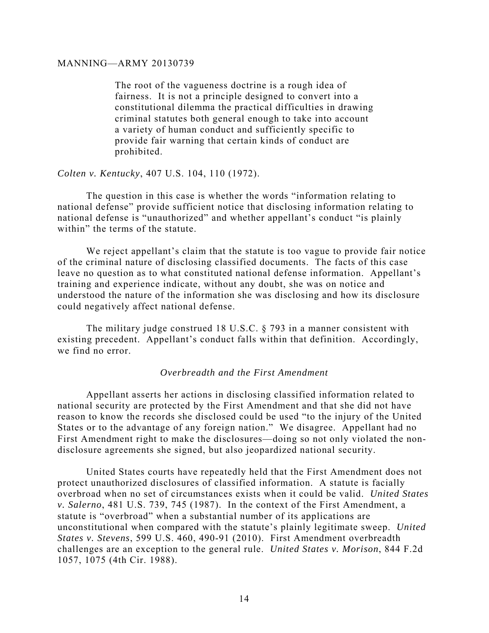The root of the vagueness doctrine is a rough idea of fairness. It is not a principle designed to convert into a constitutional dilemma the practical difficulties in drawing criminal statutes both general enough to take into account a variety of human conduct and sufficiently specific to provide fair warning that certain kinds of conduct are prohibited.

#### *Colten v. Kentucky*, 407 U.S. 104, 110 (1972).

The question in this case is whether the words "information relating to national defense" provide sufficient notice that disclosing information relating to national defense is "unauthorized" and whether appellant's conduct "is plainly within" the terms of the statute.

We reject appellant's claim that the statute is too vague to provide fair notice of the criminal nature of disclosing classified documents. The facts of this case leave no question as to what constituted national defense information. Appellant's training and experience indicate, without any doubt, she was on notice and understood the nature of the information she was disclosing and how its disclosure could negatively affect national defense.

The military judge construed 18 U.S.C. § 793 in a manner consistent with existing precedent. Appellant's conduct falls within that definition. Accordingly, we find no error.

#### *Overbreadth and the First Amendment*

Appellant asserts her actions in disclosing classified information related to national security are protected by the First Amendment and that she did not have reason to know the records she disclosed could be used "to the injury of the United States or to the advantage of any foreign nation." We disagree. Appellant had no First Amendment right to make the disclosures—doing so not only violated the nondisclosure agreements she signed, but also jeopardized national security.

United States courts have repeatedly held that the First Amendment does not protect unauthorized disclosures of classified information. A statute is facially overbroad when no set of circumstances exists when it could be valid. *United States v. Salerno*, 481 U.S. 739, 745 (1987). In the context of the First Amendment, a statute is "overbroad" when a substantial number of its applications are unconstitutional when compared with the statute's plainly legitimate sweep. *United States v. Stevens*, 599 U.S. 460, 490-91 (2010). First Amendment overbreadth challenges are an exception to the general rule. *United States v. Morison*, 844 F.2d 1057, 1075 (4th Cir. 1988).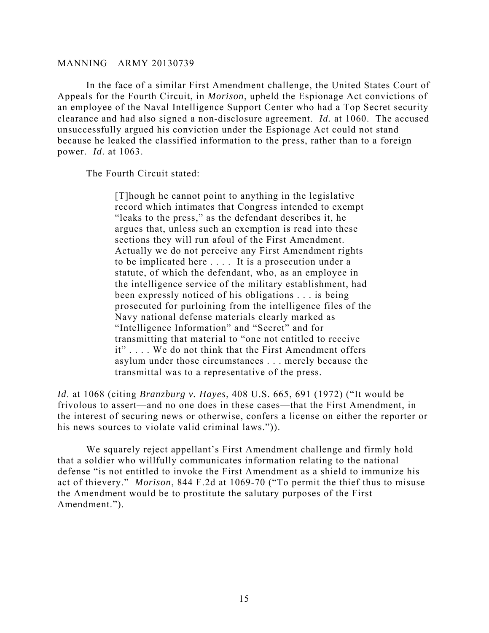In the face of a similar First Amendment challenge, the United States Court of Appeals for the Fourth Circuit, in *Morison*, upheld the Espionage Act convictions of an employee of the Naval Intelligence Support Center who had a Top Secret security clearance and had also signed a non-disclosure agreement. *Id.* at 1060.The accused unsuccessfully argued his conviction under the Espionage Act could not stand because he leaked the classified information to the press, rather than to a foreign power. *Id*. at 1063.

The Fourth Circuit stated:

[T]hough he cannot point to anything in the legislative record which intimates that Congress intended to exempt "leaks to the press," as the defendant describes it, he argues that, unless such an exemption is read into these sections they will run afoul of the First Amendment. Actually we do not perceive any First Amendment rights to be implicated here . . . . It is a prosecution under a statute, of which the defendant, who, as an employee in the intelligence service of the military establishment, had been expressly noticed of his obligations . . . is being prosecuted for purloining from the intelligence files of the Navy national defense materials clearly marked as "Intelligence Information" and "Secret" and for transmitting that material to "one not entitled to receive it" . . . . We do not think that the First Amendment offers asylum under those circumstances . . . merely because the transmittal was to a representative of the press.

*Id*. at 1068 (citing *Branzburg v. Hayes*, 408 U.S. 665, 691 (1972) ("It would be frivolous to assert—and no one does in these cases—that the First Amendment, in the interest of securing news or otherwise, confers a license on either the reporter or his news sources to violate valid criminal laws.")).

 We squarely reject appellant's First Amendment challenge and firmly hold that a soldier who willfully communicates information relating to the national defense "is not entitled to invoke the First Amendment as a shield to immunize his act of thievery." *Morison*, 844 F.2d at 1069-70 ("To permit the thief thus to misuse the Amendment would be to prostitute the salutary purposes of the First Amendment.").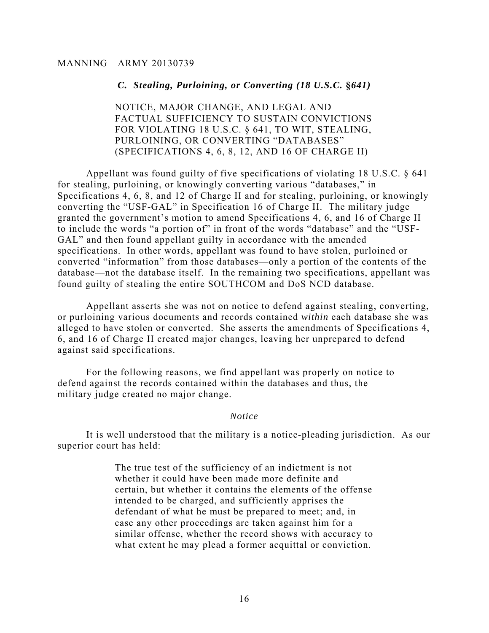#### *C. Stealing, Purloining, or Converting (18 U.S.C.* **§***641)*

NOTICE, MAJOR CHANGE, AND LEGAL AND FACTUAL SUFFICIENCY TO SUSTAIN CONVICTIONS FOR VIOLATING 18 U.S.C. § 641, TO WIT, STEALING, PURLOINING, OR CONVERTING "DATABASES" (SPECIFICATIONS 4, 6, 8, 12, AND 16 OF CHARGE II)

Appellant was found guilty of five specifications of violating 18 U.S.C. § 641 for stealing, purloining, or knowingly converting various "databases," in Specifications 4, 6, 8, and 12 of Charge II and for stealing, purloining, or knowingly converting the "USF-GAL" in Specification 16 of Charge II. The military judge granted the government's motion to amend Specifications 4, 6, and 16 of Charge II to include the words "a portion of" in front of the words "database" and the "USF-GAL" and then found appellant guilty in accordance with the amended specifications. In other words, appellant was found to have stolen, purloined or converted "information" from those databases—only a portion of the contents of the database—not the database itself. In the remaining two specifications, appellant was found guilty of stealing the entire SOUTHCOM and DoS NCD database.

Appellant asserts she was not on notice to defend against stealing, converting, or purloining various documents and records contained *within* each database she was alleged to have stolen or converted. She asserts the amendments of Specifications 4, 6, and 16 of Charge II created major changes, leaving her unprepared to defend against said specifications.

For the following reasons, we find appellant was properly on notice to defend against the records contained within the databases and thus, the military judge created no major change.

#### *Notice*

It is well understood that the military is a notice-pleading jurisdiction. As our superior court has held:

> The true test of the sufficiency of an indictment is not whether it could have been made more definite and certain, but whether it contains the elements of the offense intended to be charged, and sufficiently apprises the defendant of what he must be prepared to meet; and, in case any other proceedings are taken against him for a similar offense, whether the record shows with accuracy to what extent he may plead a former acquittal or conviction.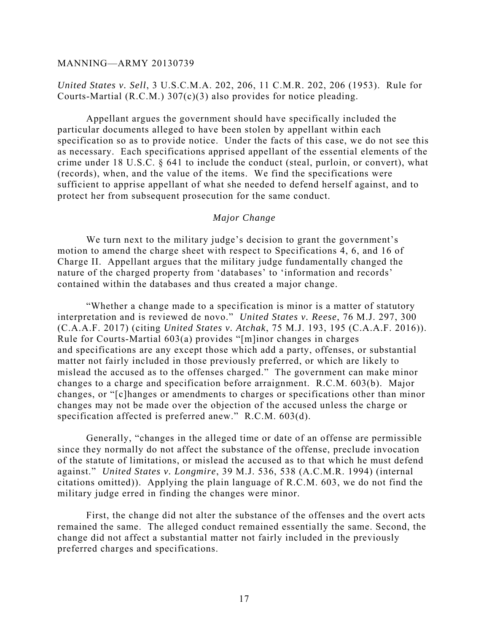## *United States v. Sell*, 3 U.S.C.M.A. 202, 206, 11 C.M.R. 202, 206 (1953). Rule for Courts-Martial (R.C.M.) 307(c)(3) also provides for notice pleading.

Appellant argues the government should have specifically included the particular documents alleged to have been stolen by appellant within each specification so as to provide notice. Under the facts of this case, we do not see this as necessary. Each specifications apprised appellant of the essential elements of the crime under 18 U.S.C. § 641 to include the conduct (steal, purloin, or convert), what (records), when, and the value of the items. We find the specifications were sufficient to apprise appellant of what she needed to defend herself against, and to protect her from subsequent prosecution for the same conduct.

### *Major Change*

We turn next to the military judge's decision to grant the government's motion to amend the charge sheet with respect to Specifications 4, 6, and 16 of Charge II. Appellant argues that the military judge fundamentally changed the nature of the charged property from 'databases' to 'information and records' contained within the databases and thus created a major change.

"Whether a change made to a specification is minor is a matter of statutory interpretation and is reviewed de novo." *United States v. Reese*, 76 M.J. 297, 300 (C.A.A.F. 2017) (citing *United States v. Atchak*, 75 M.J. 193, 195 (C.A.A.F. 2016)). Rule for Courts-Martial 603(a) provides "[m]inor changes in charges and specifications are any except those which add a party, offenses, or substantial matter not fairly included in those previously preferred, or which are likely to mislead the accused as to the offenses charged." The government can make minor changes to a charge and specification before arraignment. R.C.M. 603(b). Major changes, or "[c]hanges or amendments to charges or specifications other than minor changes may not be made over the objection of the accused unless the charge or specification affected is preferred anew." R.C.M. 603(d).

Generally, "changes in the alleged time or date of an offense are permissible since they normally do not affect the substance of the offense, preclude invocation of the statute of limitations, or mislead the accused as to that which he must defend against." *United States v. Longmire*, 39 M.J. 536, 538 (A.C.M.R. 1994) (internal citations omitted)). Applying the plain language of R.C.M. 603, we do not find the military judge erred in finding the changes were minor.

First, the change did not alter the substance of the offenses and the overt acts remained the same. The alleged conduct remained essentially the same. Second, the change did not affect a substantial matter not fairly included in the previously preferred charges and specifications.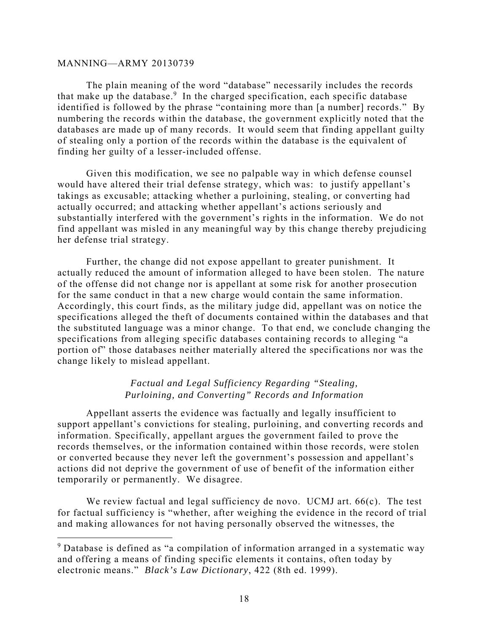$\overline{a}$ 

The plain meaning of the word "database" necessarily includes the records that make up the database.<sup>9</sup> In the charged specification, each specific database identified is followed by the phrase "containing more than [a number] records." By numbering the records within the database, the government explicitly noted that the databases are made up of many records. It would seem that finding appellant guilty of stealing only a portion of the records within the database is the equivalent of finding her guilty of a lesser-included offense.

Given this modification, we see no palpable way in which defense counsel would have altered their trial defense strategy, which was: to justify appellant's takings as excusable; attacking whether a purloining, stealing, or converting had actually occurred; and attacking whether appellant's actions seriously and substantially interfered with the government's rights in the information. We do not find appellant was misled in any meaningful way by this change thereby prejudicing her defense trial strategy.

Further, the change did not expose appellant to greater punishment. It actually reduced the amount of information alleged to have been stolen. The nature of the offense did not change nor is appellant at some risk for another prosecution for the same conduct in that a new charge would contain the same information. Accordingly, this court finds, as the military judge did, appellant was on notice the specifications alleged the theft of documents contained within the databases and that the substituted language was a minor change. To that end, we conclude changing the specifications from alleging specific databases containing records to alleging "a portion of" those databases neither materially altered the specifications nor was the change likely to mislead appellant.

## *Factual and Legal Sufficiency Regarding "Stealing, Purloining, and Converting" Records and Information*

Appellant asserts the evidence was factually and legally insufficient to support appellant's convictions for stealing, purloining, and converting records and information. Specifically, appellant argues the government failed to prove the records themselves, or the information contained within those records, were stolen or converted because they never left the government's possession and appellant's actions did not deprive the government of use of benefit of the information either temporarily or permanently. We disagree.

We review factual and legal sufficiency de novo. UCMJ art. 66(c). The test for factual sufficiency is "whether, after weighing the evidence in the record of trial and making allowances for not having personally observed the witnesses, the

<sup>&</sup>lt;sup>9</sup> Database is defined as "a compilation of information arranged in a systematic way and offering a means of finding specific elements it contains, often today by electronic means." *Black's Law Dictionary*, 422 (8th ed. 1999).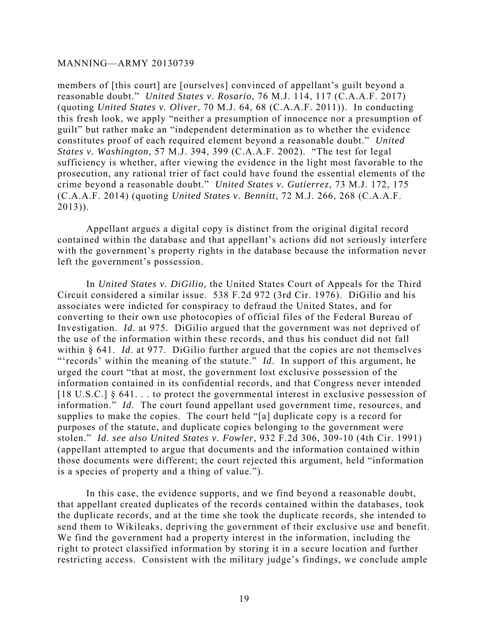members of [this court] are [ourselves] convinced of appellant's guilt beyond a reasonable doubt." *United States v. Rosario*, 76 M.J. 114, 117 (C.A.A.F. 2017) (quoting *United States v. Oliver*, 70 M.J. 64, 68 (C.A.A.F. 2011)). In conducting this fresh look, we apply "neither a presumption of innocence nor a presumption of guilt" but rather make an "independent determination as to whether the evidence constitutes proof of each required element beyond a reasonable doubt." *United States v. Washington*, 57 M.J. 394, 399 (C.A.A.F. 2002). "The test for legal sufficiency is whether, after viewing the evidence in the light most favorable to the prosecution, any rational trier of fact could have found the essential elements of the crime beyond a reasonable doubt." *United States v. Gutierrez*, 73 M.J. 172, 175 (C.A.A.F. 2014) (quoting *United States v. Bennitt*, 72 M.J. 266, 268 (C.A.A.F. 2013)).

Appellant argues a digital copy is distinct from the original digital record contained within the database and that appellant's actions did not seriously interfere with the government's property rights in the database because the information never left the government's possession.

In *United States v. DiGilio,* the United States Court of Appeals for the Third Circuit considered a similar issue. 538 F.2d 972 (3rd Cir. 1976). DiGilio and his associates were indicted for conspiracy to defraud the United States, and for converting to their own use photocopies of official files of the Federal Bureau of Investigation. *Id*. at 975. DiGilio argued that the government was not deprived of the use of the information within these records, and thus his conduct did not fall within § 641. *Id*. at 977. DiGilio further argued that the copies are not themselves "'records' within the meaning of the statute." *Id*. In support of this argument, he urged the court "that at most, the government lost exclusive possession of the information contained in its confidential records, and that Congress never intended  $[18 \text{ U.S.C.}]$  § 641... to protect the governmental interest in exclusive possession of information." *Id*. The court found appellant used government time, resources, and supplies to make the copies. The court held "[a] duplicate copy is a record for purposes of the statute, and duplicate copies belonging to the government were stolen." *Id*. *see also United States v. Fowler*, 932 F.2d 306, 309-10 (4th Cir. 1991) (appellant attempted to argue that documents and the information contained within those documents were different; the court rejected this argument, held "information is a species of property and a thing of value.").

In this case, the evidence supports, and we find beyond a reasonable doubt, that appellant created duplicates of the records contained within the databases, took the duplicate records, and at the time she took the duplicate records, she intended to send them to Wikileaks, depriving the government of their exclusive use and benefit. We find the government had a property interest in the information, including the right to protect classified information by storing it in a secure location and further restricting access. Consistent with the military judge's findings, we conclude ample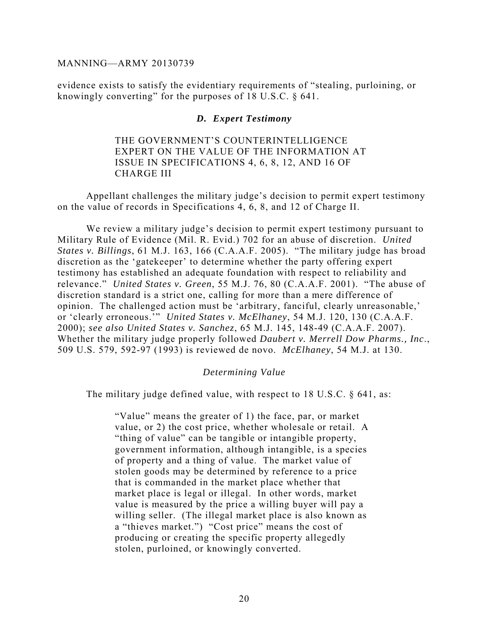evidence exists to satisfy the evidentiary requirements of "stealing, purloining, or knowingly converting" for the purposes of 18 U.S.C. § 641.

#### *D. Expert Testimony*

THE GOVERNMENT'S COUNTERINTELLIGENCE EXPERT ON THE VALUE OF THE INFORMATION AT ISSUE IN SPECIFICATIONS 4, 6, 8, 12, AND 16 OF CHARGE III

 Appellant challenges the military judge's decision to permit expert testimony on the value of records in Specifications 4, 6, 8, and 12 of Charge II.

 We review a military judge's decision to permit expert testimony pursuant to Military Rule of Evidence (Mil. R. Evid.) 702 for an abuse of discretion. *United States v. Billings*, 61 M.J. 163, 166 (C.A.A.F. 2005). "The military judge has broad discretion as the 'gatekeeper' to determine whether the party offering expert testimony has established an adequate foundation with respect to reliability and relevance." *United States v. Green*, 55 M.J. 76, 80 (C.A.A.F. 2001). "The abuse of discretion standard is a strict one, calling for more than a mere difference of opinion. The challenged action must be 'arbitrary, fanciful, clearly unreasonable,' or 'clearly erroneous.'" *United States v. McElhaney*, 54 M.J. 120, 130 (C.A.A.F. 2000); *see also United States v. Sanchez*, 65 M.J. 145, 148-49 (C.A.A.F. 2007). Whether the military judge properly followed *Daubert v. Merrell Dow Pharms., Inc*., 509 U.S. 579, 592-97 (1993) is reviewed de novo. *McElhaney*, 54 M.J. at 130.

#### *Determining Value*

The military judge defined value, with respect to 18 U.S.C. § 641, as:

"Value" means the greater of 1) the face, par, or market value, or 2) the cost price, whether wholesale or retail. A "thing of value" can be tangible or intangible property, government information, although intangible, is a species of property and a thing of value. The market value of stolen goods may be determined by reference to a price that is commanded in the market place whether that market place is legal or illegal. In other words, market value is measured by the price a willing buyer will pay a willing seller. (The illegal market place is also known as a "thieves market.") "Cost price" means the cost of producing or creating the specific property allegedly stolen, purloined, or knowingly converted.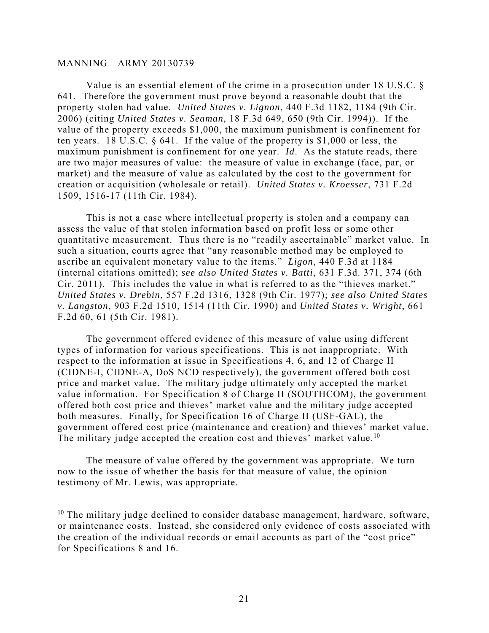$\overline{a}$ 

Value is an essential element of the crime in a prosecution under 18 U.S.C. § 641. Therefore the government must prove beyond a reasonable doubt that the property stolen had value. *United States v. Lignon*, 440 F.3d 1182, 1184 (9th Cir. 2006) (citing *United States v. Seaman*, 18 F.3d 649, 650 (9th Cir. 1994)). If the value of the property exceeds \$1,000, the maximum punishment is confinement for ten years. 18 U.S.C. § 641. If the value of the property is \$1,000 or less, the maximum punishment is confinement for one year. *Id*. As the statute reads, there are two major measures of value: the measure of value in exchange (face, par, or market) and the measure of value as calculated by the cost to the government for creation or acquisition (wholesale or retail). *United States v. Kroesser*, 731 F.2d 1509, 1516-17 (11th Cir. 1984).

This is not a case where intellectual property is stolen and a company can assess the value of that stolen information based on profit loss or some other quantitative measurement. Thus there is no "readily ascertainable" market value. In such a situation, courts agree that "any reasonable method may be employed to ascribe an equivalent monetary value to the items." *Ligon*, 440 F.3d at 1184 (internal citations omitted); *see also United States v. Batti*, 631 F.3d. 371, 374 (6th Cir. 2011). This includes the value in what is referred to as the "thieves market." *United States v. Drebin*, 557 F.2d 1316, 1328 (9th Cir. 1977); *see also United States v. Langston*, 903 F.2d 1510, 1514 (11th Cir. 1990) and *United States v. Wright*, 661 F.2d 60, 61 (5th Cir. 1981).

The government offered evidence of this measure of value using different types of information for various specifications. This is not inappropriate. With respect to the information at issue in Specifications 4, 6, and 12 of Charge II (CIDNE-I, CIDNE-A, DoS NCD respectively), the government offered both cost price and market value. The military judge ultimately only accepted the market value information. For Specification 8 of Charge II (SOUTHCOM), the government offered both cost price and thieves' market value and the military judge accepted both measures. Finally, for Specification 16 of Charge II (USF-GAL), the government offered cost price (maintenance and creation) and thieves' market value. The military judge accepted the creation cost and thieves' market value.<sup>10</sup>

The measure of value offered by the government was appropriate. We turn now to the issue of whether the basis for that measure of value, the opinion testimony of Mr. Lewis, was appropriate.

 $10$  The military judge declined to consider database management, hardware, software, or maintenance costs. Instead, she considered only evidence of costs associated with the creation of the individual records or email accounts as part of the "cost price" for Specifications 8 and 16.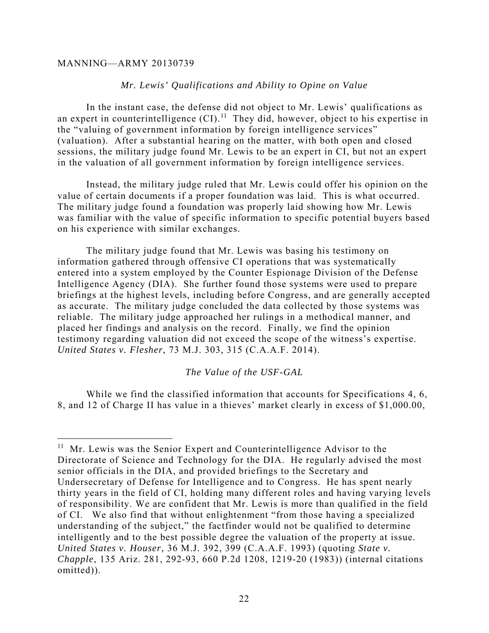$\overline{a}$ 

### *Mr. Lewis' Qualifications and Ability to Opine on Value*

In the instant case, the defense did not object to Mr. Lewis' qualifications as an expert in counterintelligence  $(Cl)$ .<sup>11</sup> They did, however, object to his expertise in the "valuing of government information by foreign intelligence services" (valuation). After a substantial hearing on the matter, with both open and closed sessions, the military judge found Mr. Lewis to be an expert in CI, but not an expert in the valuation of all government information by foreign intelligence services.

Instead, the military judge ruled that Mr. Lewis could offer his opinion on the value of certain documents if a proper foundation was laid. This is what occurred. The military judge found a foundation was properly laid showing how Mr. Lewis was familiar with the value of specific information to specific potential buyers based on his experience with similar exchanges.

The military judge found that Mr. Lewis was basing his testimony on information gathered through offensive CI operations that was systematically entered into a system employed by the Counter Espionage Division of the Defense Intelligence Agency (DIA). She further found those systems were used to prepare briefings at the highest levels, including before Congress, and are generally accepted as accurate. The military judge concluded the data collected by those systems was reliable. The military judge approached her rulings in a methodical manner, and placed her findings and analysis on the record. Finally, we find the opinion testimony regarding valuation did not exceed the scope of the witness's expertise. *United States v. Flesher*, 73 M.J. 303, 315 (C.A.A.F. 2014).

#### *The Value of the USF-GAL*

While we find the classified information that accounts for Specifications 4, 6, 8, and 12 of Charge II has value in a thieves' market clearly in excess of \$1,000.00,

 $11$  Mr. Lewis was the Senior Expert and Counterintelligence Advisor to the Directorate of Science and Technology for the DIA. He regularly advised the most senior officials in the DIA, and provided briefings to the Secretary and Undersecretary of Defense for Intelligence and to Congress. He has spent nearly thirty years in the field of CI, holding many different roles and having varying levels of responsibility. We are confident that Mr. Lewis is more than qualified in the field of CI. We also find that without enlightenment "from those having a specialized understanding of the subject," the factfinder would not be qualified to determine intelligently and to the best possible degree the valuation of the property at issue. *United States v. Houser*, 36 M.J. 392, 399 (C.A.A.F. 1993) (quoting *State v. Chapple*, 135 Ariz. 281, 292-93, 660 P.2d 1208, 1219-20 (1983)) (internal citations omitted)).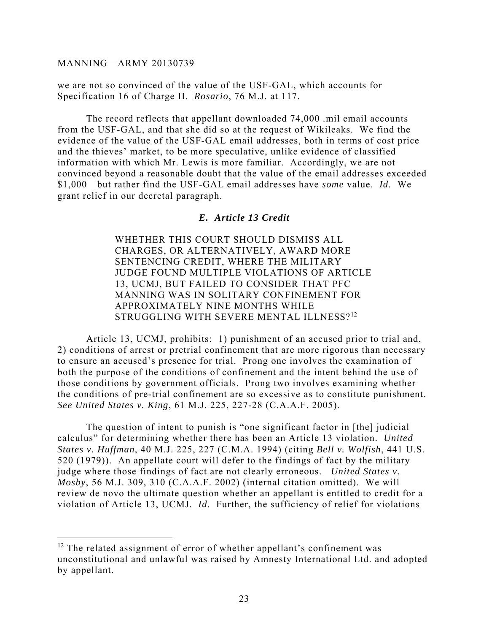1

we are not so convinced of the value of the USF-GAL, which accounts for Specification 16 of Charge II. *Rosario*, 76 M.J. at 117.

The record reflects that appellant downloaded 74,000 .mil email accounts from the USF-GAL, and that she did so at the request of Wikileaks. We find the evidence of the value of the USF-GAL email addresses, both in terms of cost price and the thieves' market, to be more speculative, unlike evidence of classified information with which Mr. Lewis is more familiar. Accordingly, we are not convinced beyond a reasonable doubt that the value of the email addresses exceeded \$1,000—but rather find the USF-GAL email addresses have *some* value. *Id*. We grant relief in our decretal paragraph.

#### *E. Article 13 Credit*

WHETHER THIS COURT SHOULD DISMISS ALL CHARGES, OR ALTERNATIVELY, AWARD MORE SENTENCING CREDIT, WHERE THE MILITARY JUDGE FOUND MULTIPLE VIOLATIONS OF ARTICLE 13, UCMJ, BUT FAILED TO CONSIDER THAT PFC MANNING WAS IN SOLITARY CONFINEMENT FOR APPROXIMATELY NINE MONTHS WHILE STRUGGLING WITH SEVERE MENTAL ILLNESS?<sup>12</sup>

Article 13, UCMJ, prohibits: 1) punishment of an accused prior to trial and, 2) conditions of arrest or pretrial confinement that are more rigorous than necessary to ensure an accused's presence for trial. Prong one involves the examination of both the purpose of the conditions of confinement and the intent behind the use of those conditions by government officials. Prong two involves examining whether the conditions of pre-trial confinement are so excessive as to constitute punishment. *See United States v. King*, 61 M.J. 225, 227-28 (C.A.A.F. 2005).

The question of intent to punish is "one significant factor in [the] judicial calculus" for determining whether there has been an Article 13 violation. *United States v. Huffman*, 40 M.J. 225, 227 (C.M.A. 1994) (citing *Bell v. Wolfish*, 441 U.S. 520 (1979)). An appellate court will defer to the findings of fact by the military judge where those findings of fact are not clearly erroneous. *United States v. Mosby*, 56 M.J. 309, 310 (C.A.A.F. 2002) (internal citation omitted). We will review de novo the ultimate question whether an appellant is entitled to credit for a violation of Article 13, UCMJ. *Id*. Further, the sufficiency of relief for violations

<sup>&</sup>lt;sup>12</sup> The related assignment of error of whether appellant's confinement was unconstitutional and unlawful was raised by Amnesty International Ltd. and adopted by appellant.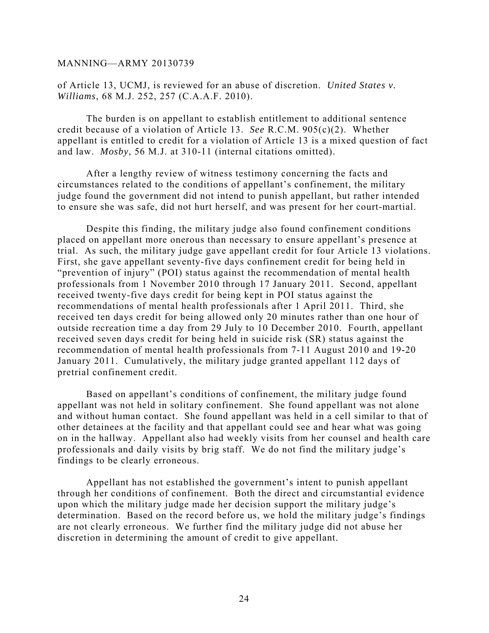of Article 13, UCMJ, is reviewed for an abuse of discretion. *United States v. Williams*, 68 M.J. 252, 257 (C.A.A.F. 2010).

The burden is on appellant to establish entitlement to additional sentence credit because of a violation of Article 13. *See* R.C.M. 905(c)(2). Whether appellant is entitled to credit for a violation of Article 13 is a mixed question of fact and law. *Mosby*, 56 M.J. at 310-11 (internal citations omitted).

After a lengthy review of witness testimony concerning the facts and circumstances related to the conditions of appellant's confinement, the military judge found the government did not intend to punish appellant, but rather intended to ensure she was safe, did not hurt herself, and was present for her court-martial.

Despite this finding, the military judge also found confinement conditions placed on appellant more onerous than necessary to ensure appellant's presence at trial. As such, the military judge gave appellant credit for four Article 13 violations. First, she gave appellant seventy-five days confinement credit for being held in "prevention of injury" (POI) status against the recommendation of mental health professionals from 1 November 2010 through 17 January 2011. Second, appellant received twenty-five days credit for being kept in POI status against the recommendations of mental health professionals after 1 April 2011. Third, she received ten days credit for being allowed only 20 minutes rather than one hour of outside recreation time a day from 29 July to 10 December 2010. Fourth, appellant received seven days credit for being held in suicide risk (SR) status against the recommendation of mental health professionals from 7-11 August 2010 and 19-20 January 2011. Cumulatively, the military judge granted appellant 112 days of pretrial confinement credit.

Based on appellant's conditions of confinement, the military judge found appellant was not held in solitary confinement. She found appellant was not alone and without human contact. She found appellant was held in a cell similar to that of other detainees at the facility and that appellant could see and hear what was going on in the hallway. Appellant also had weekly visits from her counsel and health care professionals and daily visits by brig staff. We do not find the military judge's findings to be clearly erroneous.

Appellant has not established the government's intent to punish appellant through her conditions of confinement. Both the direct and circumstantial evidence upon which the military judge made her decision support the military judge's determination. Based on the record before us, we hold the military judge's findings are not clearly erroneous. We further find the military judge did not abuse her discretion in determining the amount of credit to give appellant.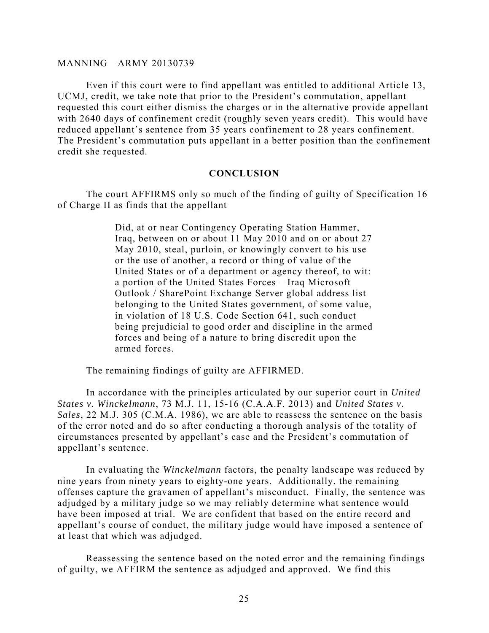Even if this court were to find appellant was entitled to additional Article 13, UCMJ, credit, we take note that prior to the President's commutation, appellant requested this court either dismiss the charges or in the alternative provide appellant with 2640 days of confinement credit (roughly seven years credit). This would have reduced appellant's sentence from 35 years confinement to 28 years confinement. The President's commutation puts appellant in a better position than the confinement credit she requested.

#### **CONCLUSION**

The court AFFIRMS only so much of the finding of guilty of Specification 16 of Charge II as finds that the appellant

> Did, at or near Contingency Operating Station Hammer, Iraq, between on or about 11 May 2010 and on or about 27 May 2010, steal, purloin, or knowingly convert to his use or the use of another, a record or thing of value of the United States or of a department or agency thereof, to wit: a portion of the United States Forces – Iraq Microsoft Outlook / SharePoint Exchange Server global address list belonging to the United States government, of some value, in violation of 18 U.S. Code Section 641, such conduct being prejudicial to good order and discipline in the armed forces and being of a nature to bring discredit upon the armed forces.

The remaining findings of guilty are AFFIRMED.

In accordance with the principles articulated by our superior court in *United States v. Winckelmann*, 73 M.J. 11, 15-16 (C.A.A.F. 2013) and *United States v. Sales*, 22 M.J. 305 (C.M.A. 1986), we are able to reassess the sentence on the basis of the error noted and do so after conducting a thorough analysis of the totality of circumstances presented by appellant's case and the President's commutation of appellant's sentence.

In evaluating the *Winckelmann* factors, the penalty landscape was reduced by nine years from ninety years to eighty-one years. Additionally, the remaining offenses capture the gravamen of appellant's misconduct. Finally, the sentence was adjudged by a military judge so we may reliably determine what sentence would have been imposed at trial. We are confident that based on the entire record and appellant's course of conduct, the military judge would have imposed a sentence of at least that which was adjudged.

 Reassessing the sentence based on the noted error and the remaining findings of guilty, we AFFIRM the sentence as adjudged and approved. We find this